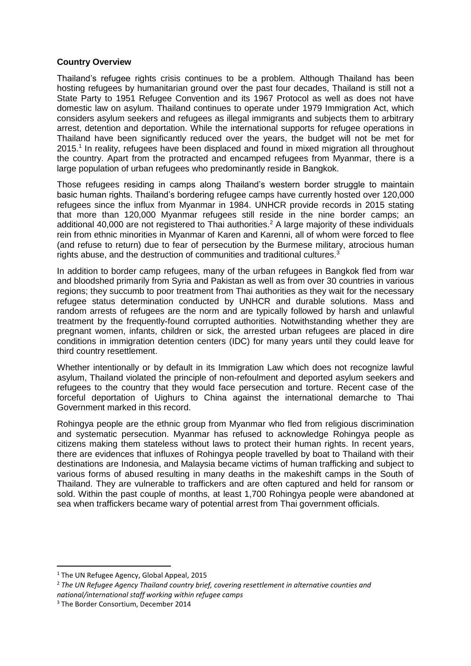#### **Country Overview**

Thailand's refugee rights crisis continues to be a problem. Although Thailand has been hosting refugees by humanitarian ground over the past four decades, Thailand is still not a State Party to 1951 Refugee Convention and its 1967 Protocol as well as does not have domestic law on asylum. Thailand continues to operate under 1979 Immigration Act, which considers asylum seekers and refugees as illegal immigrants and subjects them to arbitrary arrest, detention and deportation. While the international supports for refugee operations in Thailand have been significantly reduced over the years, the budget will not be met for 2015.<sup>1</sup> In reality, refugees have been displaced and found in mixed migration all throughout the country. Apart from the protracted and encamped refugees from Myanmar, there is a large population of urban refugees who predominantly reside in Bangkok.

Those refugees residing in camps along Thailand's western border struggle to maintain basic human rights. Thailand's bordering refugee camps have currently hosted over 120,000 refugees since the influx from Myanmar in 1984. UNHCR provide records in 2015 stating that more than 120,000 Myanmar refugees still reside in the nine border camps; an additional 40,000 are not registered to Thai authorities.<sup>2</sup> A large majority of these individuals rein from ethnic minorities in Myanmar of Karen and Karenni, all of whom were forced to flee (and refuse to return) due to fear of persecution by the Burmese military, atrocious human rights abuse, and the destruction of communities and traditional cultures.<sup>3</sup>

In addition to border camp refugees, many of the urban refugees in Bangkok fled from war and bloodshed primarily from Syria and Pakistan as well as from over 30 countries in various regions; they succumb to poor treatment from Thai authorities as they wait for the necessary refugee status determination conducted by UNHCR and durable solutions. Mass and random arrests of refugees are the norm and are typically followed by harsh and unlawful treatment by the frequently-found corrupted authorities. Notwithstanding whether they are pregnant women, infants, children or sick, the arrested urban refugees are placed in dire conditions in immigration detention centers (IDC) for many years until they could leave for third country resettlement.

Whether intentionally or by default in its Immigration Law which does not recognize lawful asylum, Thailand violated the principle of non-refoulment and deported asylum seekers and refugees to the country that they would face persecution and torture. Recent case of the forceful deportation of Uighurs to China against the international demarche to Thai Government marked in this record.

Rohingya people are the ethnic group from Myanmar who fled from religious discrimination and systematic persecution. Myanmar has refused to acknowledge Rohingya people as citizens making them stateless without laws to protect their human rights. In recent years, there are evidences that influxes of Rohingya people travelled by boat to Thailand with their destinations are Indonesia, and Malaysia became victims of human trafficking and subject to various forms of abused resulting in many deaths in the makeshift camps in the South of Thailand. They are vulnerable to traffickers and are often captured and held for ransom or sold. Within the past couple of months, at least 1,700 Rohingya people were abandoned at sea when traffickers became wary of potential arrest from Thai government officials.

<sup>&</sup>lt;sup>1</sup> The UN Refugee Agency, Global Appeal, 2015

<sup>2</sup> *The UN Refugee Agency Thailand country brief, covering resettlement in alternative counties and national/international staff working within refugee camps*

<sup>3</sup> The Border Consortium, December 2014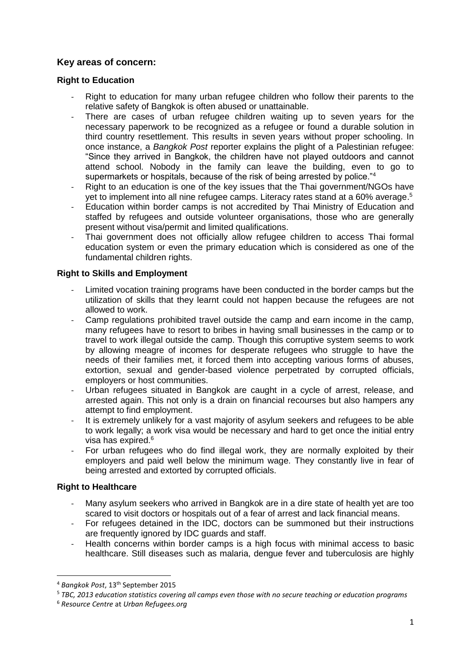# **Key areas of concern:**

### **Right to Education**

- Right to education for many urban refugee children who follow their parents to the relative safety of Bangkok is often abused or unattainable.
- There are cases of urban refugee children waiting up to seven years for the necessary paperwork to be recognized as a refugee or found a durable solution in third country resettlement. This results in seven years without proper schooling. In once instance, a *Bangkok Post* reporter explains the plight of a Palestinian refugee: "Since they arrived in Bangkok, the children have not played outdoors and cannot attend school. Nobody in the family can leave the building, even to go to supermarkets or hospitals, because of the risk of being arrested by police."<sup>4</sup>
- Right to an education is one of the key issues that the Thai government/NGOs have yet to implement into all nine refugee camps. Literacy rates stand at a 60% average.<sup>5</sup>
- Education within border camps is not accredited by Thai Ministry of Education and staffed by refugees and outside volunteer organisations, those who are generally present without visa/permit and limited qualifications.
- Thai government does not officially allow refugee children to access Thai formal education system or even the primary education which is considered as one of the fundamental children rights.

## **Right to Skills and Employment**

- Limited vocation training programs have been conducted in the border camps but the utilization of skills that they learnt could not happen because the refugees are not allowed to work.
- Camp regulations prohibited travel outside the camp and earn income in the camp, many refugees have to resort to bribes in having small businesses in the camp or to travel to work illegal outside the camp. Though this corruptive system seems to work by allowing meagre of incomes for desperate refugees who struggle to have the needs of their families met, it forced them into accepting various forms of abuses, extortion, sexual and gender-based violence perpetrated by corrupted officials, employers or host communities.
- Urban refugees situated in Bangkok are caught in a cycle of arrest, release, and arrested again. This not only is a drain on financial recourses but also hampers any attempt to find employment.
- It is extremely unlikely for a vast majority of asylum seekers and refugees to be able to work legally; a work visa would be necessary and hard to get once the initial entry visa has expired.<sup>6</sup>
- For urban refugees who do find illegal work, they are normally exploited by their employers and paid well below the minimum wage. They constantly live in fear of being arrested and extorted by corrupted officials.

#### **Right to Healthcare**

- Many asylum seekers who arrived in Bangkok are in a dire state of health yet are too scared to visit doctors or hospitals out of a fear of arrest and lack financial means.
- For refugees detained in the IDC, doctors can be summoned but their instructions are frequently ignored by IDC guards and staff.
- Health concerns within border camps is a high focus with minimal access to basic healthcare. Still diseases such as malaria, dengue fever and tuberculosis are highly

<sup>4</sup> *Bangkok Post*, 13th September 2015

<sup>5</sup> *TBC, 2013 education statistics covering all camps even those with no secure teaching or education programs*

<sup>6</sup> *Resource Centre* at *Urban Refugees.org*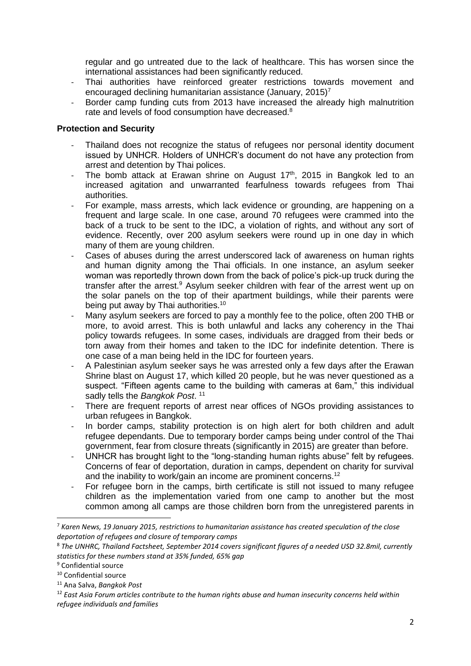regular and go untreated due to the lack of healthcare. This has worsen since the international assistances had been significantly reduced.

- Thai authorities have reinforced greater restrictions towards movement and encouraged declining humanitarian assistance (January, 2015)<sup>7</sup>
- Border camp funding cuts from 2013 have increased the already high malnutrition rate and levels of food consumption have decreased.<sup>8</sup>

#### **Protection and Security**

- Thailand does not recognize the status of refugees nor personal identity document issued by UNHCR. Holders of UNHCR's document do not have any protection from arrest and detention by Thai polices.
- The bomb attack at Erawan shrine on August  $17<sup>th</sup>$ , 2015 in Bangkok led to an increased agitation and unwarranted fearfulness towards refugees from Thai authorities.
- For example, mass arrests, which lack evidence or grounding, are happening on a frequent and large scale. In one case, around 70 refugees were crammed into the back of a truck to be sent to the IDC, a violation of rights, and without any sort of evidence. Recently, over 200 asylum seekers were round up in one day in which many of them are young children.
- Cases of abuses during the arrest underscored lack of awareness on human rights and human dignity among the Thai officials. In one instance, an asylum seeker woman was reportedly thrown down from the back of police's pick-up truck during the transfer after the arrest.<sup>9</sup> Asylum seeker children with fear of the arrest went up on the solar panels on the top of their apartment buildings, while their parents were being put away by Thai authorities.<sup>10</sup>
- Many asylum seekers are forced to pay a monthly fee to the police, often 200 THB or more, to avoid arrest. This is both unlawful and lacks any coherency in the Thai policy towards refugees. In some cases, individuals are dragged from their beds or torn away from their homes and taken to the IDC for indefinite detention. There is one case of a man being held in the IDC for fourteen years.
- A Palestinian asylum seeker says he was arrested only a few days after the Erawan Shrine blast on August 17, which killed 20 people, but he was never questioned as a suspect. "Fifteen agents came to the building with cameras at 6am," this individual sadly tells the *Bangkok Post*. 11
- There are frequent reports of arrest near offices of NGOs providing assistances to urban refugees in Bangkok.
- In border camps, stability protection is on high alert for both children and adult refugee dependants. Due to temporary border camps being under control of the Thai government, fear from closure threats (significantly in 2015) are greater than before.
- UNHCR has brought light to the "long-standing human rights abuse" felt by refugees. Concerns of fear of deportation, duration in camps, dependent on charity for survival and the inability to work/gain an income are prominent concerns.<sup>12</sup>
- For refugee born in the camps, birth certificate is still not issued to many refugee children as the implementation varied from one camp to another but the most common among all camps are those children born from the unregistered parents in

<sup>7</sup> *Karen News, 19 January 2015, restrictions to humanitarian assistance has created speculation of the close deportation of refugees and closure of temporary camps*

<sup>8</sup> *The UNHRC, Thailand Factsheet, September 2014 covers significant figures of a needed USD 32.8mil, currently statistics for these numbers stand at 35% funded, 65% gap*

<sup>9</sup> Confidential source

<sup>10</sup> Confidential source

<sup>11</sup> Ana Salva, *Bangkok Post*

<sup>12</sup> *East Asia Forum articles contribute to the human rights abuse and human insecurity concerns held within refugee individuals and families*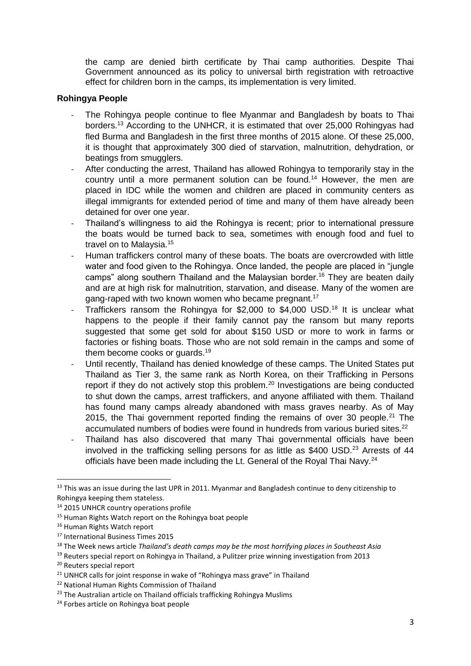the camp are denied birth certificate by Thai camp authorities. Despite Thai Government announced as its policy to universal birth registration with retroactive effect for children born in the camps, its implementation is very limited.

#### **Rohingya People**

- The Rohingya people continue to flee Myanmar and Bangladesh by boats to Thai borders.<sup>13</sup> According to the UNHCR, it is estimated that over 25,000 Rohingyas had fled Burma and Bangladesh in the first three months of 2015 alone. Of these 25,000, it is thought that approximately 300 died of starvation, malnutrition, dehydration, or beatings from smugglers.
- After conducting the arrest, Thailand has allowed Rohingya to temporarily stay in the country until a more permanent solution can be found.<sup>14</sup> However, the men are placed in IDC while the women and children are placed in community centers as illegal immigrants for extended period of time and many of them have already been detained for over one year.
- Thailand's willingness to aid the Rohingya is recent; prior to international pressure the boats would be turned back to sea, sometimes with enough food and fuel to travel on to Malaysia.<sup>15</sup>
- Human traffickers control many of these boats. The boats are overcrowded with little water and food given to the Rohingya. Once landed, the people are placed in "jungle" camps" along southern Thailand and the Malaysian border.<sup>16</sup> They are beaten daily and are at high risk for malnutrition, starvation, and disease. Many of the women are gang-raped with two known women who became pregnant.<sup>17</sup>
- Traffickers ransom the Rohingya for \$2,000 to \$4,000 USD.<sup>18</sup> It is unclear what happens to the people if their family cannot pay the ransom but many reports suggested that some get sold for about \$150 USD or more to work in farms or factories or fishing boats. Those who are not sold remain in the camps and some of them become cooks or guards.<sup>19</sup>
- Until recently, Thailand has denied knowledge of these camps. The United States put Thailand as Tier 3, the same rank as North Korea, on their Trafficking in Persons report if they do not actively stop this problem.<sup>20</sup> Investigations are being conducted to shut down the camps, arrest traffickers, and anyone affiliated with them. Thailand has found many camps already abandoned with mass graves nearby. As of May 2015, the Thai government reported finding the remains of over 30 people.<sup>21</sup> The accumulated numbers of bodies were found in hundreds from various buried sites.<sup>22</sup>
- Thailand has also discovered that many Thai governmental officials have been involved in the trafficking selling persons for as little as \$400 USD.<sup>23</sup> Arrests of 44 officials have been made including the Lt. General of the Royal Thai Navy.<sup>24</sup>

1

<sup>&</sup>lt;sup>13</sup> This was an issue during the last UPR in 2011. Myanmar and Bangladesh continue to deny citizenship to Rohingya keeping them stateless.

<sup>14</sup> 2015 UNHCR country operations profile

<sup>&</sup>lt;sup>15</sup> Human Rights Watch report on the Rohingya boat people

<sup>16</sup> Human Rights Watch report

<sup>17</sup> International Business Times 2015

<sup>18</sup> The Week news article *Thailand's death camps may be the most horrifying places in Southeast Asia*

<sup>&</sup>lt;sup>19</sup> Reuters special report on Rohingya in Thailand, a Pulitzer prize winning investigation from 2013

<sup>20</sup> Reuters special report

<sup>&</sup>lt;sup>21</sup> UNHCR calls for joint response in wake of "Rohingya mass grave" in Thailand

<sup>22</sup> National Human Rights Commission of Thailand

<sup>&</sup>lt;sup>23</sup> The Australian article on Thailand officials trafficking Rohingya Muslims

<sup>24</sup> Forbes article on Rohingya boat people